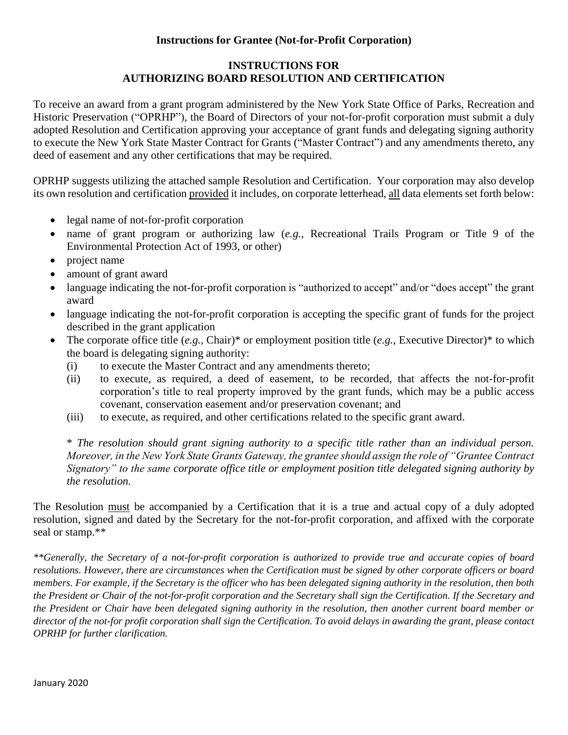# **Instructions for Grantee (Not-for-Profit Corporation)**

# **INSTRUCTIONS FOR AUTHORIZING BOARD RESOLUTION AND CERTIFICATION**

To receive an award from a grant program administered by the New York State Office of Parks, Recreation and Historic Preservation ("OPRHP"), the Board of Directors of your not-for-profit corporation must submit a duly adopted Resolution and Certification approving your acceptance of grant funds and delegating signing authority to execute the New York State Master Contract for Grants ("Master Contract") and any amendments thereto, any deed of easement and any other certifications that may be required.

OPRHP suggests utilizing the attached sample Resolution and Certification. Your corporation may also develop its own resolution and certification provided it includes, on corporate letterhead, all data elements set forth below:

- legal name of not-for-profit corporation
- name of grant program or authorizing law (*e.g.*, Recreational Trails Program or Title 9 of the Environmental Protection Act of 1993, or other)
- project name
- amount of grant award
- language indicating the not-for-profit corporation is "authorized to accept" and/or "does accept" the grant award
- language indicating the not-for-profit corporation is accepting the specific grant of funds for the project described in the grant application
- The corporate office title (*e.g.*, Chair)\* or employment position title (*e.g.*, Executive Director)\* to which the board is delegating signing authority:
	- (i) to execute the Master Contract and any amendments thereto;
	- (ii) to execute, as required, a deed of easement, to be recorded, that affects the not-for-profit corporation's title to real property improved by the grant funds, which may be a public access covenant, conservation easement and/or preservation covenant; and
	- (iii) to execute, as required, and other certifications related to the specific grant award.

\* *The resolution should grant signing authority to a specific title rather than an individual person. Moreover, in the New York State Grants Gateway, the grantee should assign the role of "Grantee Contract Signatory" to the same corporate office title or employment position title delegated signing authority by the resolution.* 

The Resolution must be accompanied by a Certification that it is a true and actual copy of a duly adopted resolution, signed and dated by the Secretary for the not-for-profit corporation, and affixed with the corporate seal or stamp.\*\*

*\*\*Generally, the Secretary of a not-for-profit corporation is authorized to provide true and accurate copies of board resolutions. However, there are circumstances when the Certification must be signed by other corporate officers or board members. For example, if the Secretary is the officer who has been delegated signing authority in the resolution, then both the President or Chair of the not-for-profit corporation and the Secretary shall sign the Certification. If the Secretary and the President or Chair have been delegated signing authority in the resolution, then another current board member or director of the not-for profit corporation shall sign the Certification. To avoid delays in awarding the grant, please contact OPRHP for further clarification.*